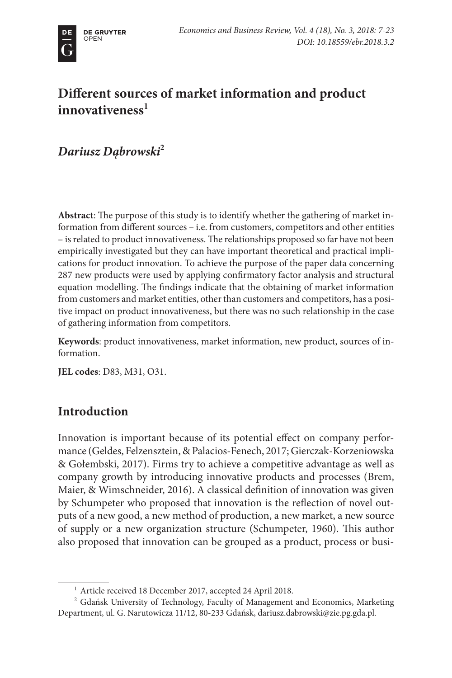# **Different sources of market information and product**  innovativeness<sup>1</sup>

*Dariusz Dąbrowski***<sup>2</sup>**

**Abstract**: The purpose of this study is to identify whether the gathering of market information from different sources – i.e. from customers, competitors and other entities – is related to product innovativeness. The relationships proposed so far have not been empirically investigated but they can have important theoretical and practical implications for product innovation. To achieve the purpose of the paper data concerning 287 new products were used by applying confirmatory factor analysis and structural equation modelling. The findings indicate that the obtaining of market information from customers and market entities, other than customers and competitors, has a positive impact on product innovativeness, but there was no such relationship in the case of gathering information from competitors.

**Keywords**: product innovativeness, market information, new product, sources of information.

**JEL codes**: D83, M31, O31.

# **Introduction**

Innovation is important because of its potential effect on company performance (Geldes, Felzensztein, & Palacios-Fenech, 2017; Gierczak-Korzeniowska & Gołembski, 2017). Firms try to achieve a competitive advantage as well as company growth by introducing innovative products and processes (Brem, Maier, & Wimschneider, 2016). A classical definition of innovation was given by Schumpeter who proposed that innovation is the reflection of novel outputs of a new good, a new method of production, a new market, a new source of supply or a new organization structure (Schumpeter, 1960). This author also proposed that innovation can be grouped as a product, process or busi-

<sup>1</sup> Article received 18 December 2017, accepted 24 April 2018.

<sup>2</sup> Gdańsk University of Technology, Faculty of Management and Economics, Marketing Department, ul. G. Narutowicza 11/12, 80-233 Gdańsk, dariusz.dabrowski@zie.pg.gda.pl.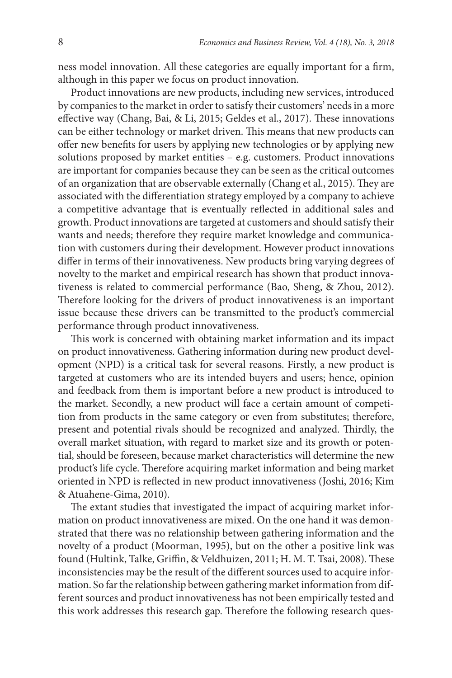ness model innovation. All these categories are equally important for a firm, although in this paper we focus on product innovation.

Product innovations are new products, including new services, introduced by companies to the market in order to satisfy their customers' needs in a more effective way (Chang, Bai, & Li, 2015; Geldes et al., 2017). These innovations can be either technology or market driven. This means that new products can offer new benefits for users by applying new technologies or by applying new solutions proposed by market entities – e.g. customers. Product innovations are important for companies because they can be seen as the critical outcomes of an organization that are observable externally (Chang et al., 2015). They are associated with the differentiation strategy employed by a company to achieve a competitive advantage that is eventually reflected in additional sales and growth. Product innovations are targeted at customers and should satisfy their wants and needs; therefore they require market knowledge and communication with customers during their development. However product innovations differ in terms of their innovativeness. New products bring varying degrees of novelty to the market and empirical research has shown that product innovativeness is related to commercial performance (Bao, Sheng, & Zhou, 2012). Therefore looking for the drivers of product innovativeness is an important issue because these drivers can be transmitted to the product's commercial performance through product innovativeness.

This work is concerned with obtaining market information and its impact on product innovativeness. Gathering information during new product development (NPD) is a critical task for several reasons. Firstly, a new product is targeted at customers who are its intended buyers and users; hence, opinion and feedback from them is important before a new product is introduced to the market. Secondly, a new product will face a certain amount of competition from products in the same category or even from substitutes; therefore, present and potential rivals should be recognized and analyzed. Thirdly, the overall market situation, with regard to market size and its growth or potential, should be foreseen, because market characteristics will determine the new product's life cycle. Therefore acquiring market information and being market oriented in NPD is reflected in new product innovativeness (Joshi, 2016; Kim & Atuahene-Gima, 2010).

The extant studies that investigated the impact of acquiring market information on product innovativeness are mixed. On the one hand it was demonstrated that there was no relationship between gathering information and the novelty of a product (Moorman, 1995), but on the other a positive link was found (Hultink, Talke, Griffin, & Veldhuizen, 2011; H. M. T. Tsai, 2008). These inconsistencies may be the result of the different sources used to acquire information. So far the relationship between gathering market information from different sources and product innovativeness has not been empirically tested and this work addresses this research gap. Therefore the following research ques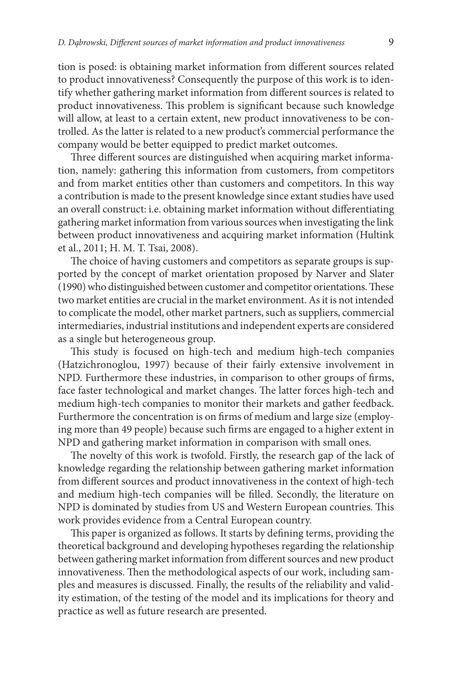tion is posed: is obtaining market information from different sources related to product innovativeness? Consequently the purpose of this work is to identify whether gathering market information from different sources is related to product innovativeness. This problem is significant because such knowledge will allow, at least to a certain extent, new product innovativeness to be controlled. As the latter is related to a new product's commercial performance the company would be better equipped to predict market outcomes.

Three different sources are distinguished when acquiring market information, namely: gathering this information from customers, from competitors and from market entities other than customers and competitors. In this way a contribution is made to the present knowledge since extant studies have used an overall construct: i.e. obtaining market information without differentiating gathering market information from various sources when investigating the link between product innovativeness and acquiring market information (Hultink et al., 2011; H. M. T. Tsai, 2008).

The choice of having customers and competitors as separate groups is supported by the concept of market orientation proposed by Narver and Slater (1990) who distinguished between customer and competitor orientations. These two market entities are crucial in the market environment. As it is not intended to complicate the model, other market partners, such as suppliers, commercial intermediaries, industrial institutions and independent experts are considered as a single but heterogeneous group.

This study is focused on high-tech and medium high-tech companies (Hatzichronoglou, 1997) because of their fairly extensive involvement in NPD. Furthermore these industries, in comparison to other groups of firms, face faster technological and market changes. The latter forces high-tech and medium high-tech companies to monitor their markets and gather feedback. Furthermore the concentration is on firms of medium and large size (employing more than 49 people) because such firms are engaged to a higher extent in NPD and gathering market information in comparison with small ones.

The novelty of this work is twofold. Firstly, the research gap of the lack of knowledge regarding the relationship between gathering market information from different sources and product innovativeness in the context of high-tech and medium high-tech companies will be filled. Secondly, the literature on NPD is dominated by studies from US and Western European countries. This work provides evidence from a Central European country.

This paper is organized as follows. It starts by defining terms, providing the theoretical background and developing hypotheses regarding the relationship between gathering market information from different sources and new product innovativeness. Then the methodological aspects of our work, including samples and measures is discussed. Finally, the results of the reliability and validity estimation, of the testing of the model and its implications for theory and practice as well as future research are presented.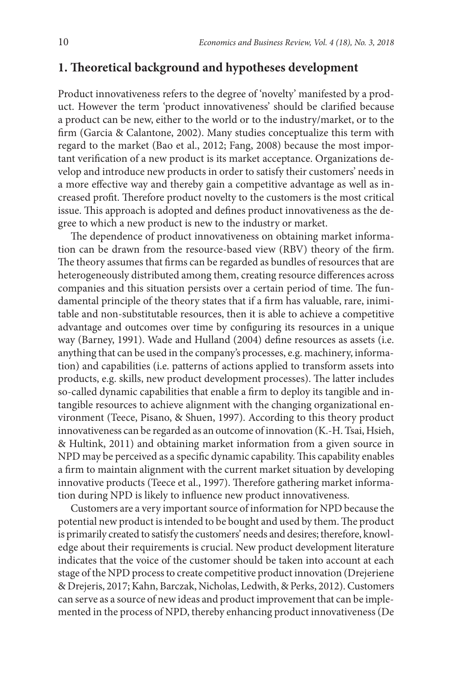## **1. Theoretical background and hypotheses development**

Product innovativeness refers to the degree of 'novelty' manifested by a product. However the term 'product innovativeness' should be clarified because a product can be new, either to the world or to the industry/market, or to the firm (Garcia & Calantone, 2002). Many studies conceptualize this term with regard to the market (Bao et al., 2012; Fang, 2008) because the most important verification of a new product is its market acceptance. Organizations develop and introduce new products in order to satisfy their customers' needs in a more effective way and thereby gain a competitive advantage as well as increased profit. Therefore product novelty to the customers is the most critical issue. This approach is adopted and defines product innovativeness as the degree to which a new product is new to the industry or market.

The dependence of product innovativeness on obtaining market information can be drawn from the resource-based view (RBV) theory of the firm. The theory assumes that firms can be regarded as bundles of resources that are heterogeneously distributed among them, creating resource differences across companies and this situation persists over a certain period of time. The fundamental principle of the theory states that if a firm has valuable, rare, inimitable and non-substitutable resources, then it is able to achieve a competitive advantage and outcomes over time by configuring its resources in a unique way (Barney, 1991). Wade and Hulland (2004) define resources as assets (i.e. anything that can be used in the company's processes, e.g. machinery, information) and capabilities (i.e. patterns of actions applied to transform assets into products, e.g. skills, new product development processes). The latter includes so-called dynamic capabilities that enable a firm to deploy its tangible and intangible resources to achieve alignment with the changing organizational environment (Teece, Pisano, & Shuen, 1997). According to this theory product innovativeness can be regarded as an outcome of innovation (K.-H. Tsai, Hsieh, & Hultink, 2011) and obtaining market information from a given source in NPD may be perceived as a specific dynamic capability. This capability enables a firm to maintain alignment with the current market situation by developing innovative products (Teece et al., 1997). Therefore gathering market information during NPD is likely to influence new product innovativeness.

Customers are a very important source of information for NPD because the potential new product is intended to be bought and used by them. The product is primarily created to satisfy the customers' needs and desires; therefore, knowledge about their requirements is crucial. New product development literature indicates that the voice of the customer should be taken into account at each stage of the NPD process to create competitive product innovation (Drejeriene & Drejeris, 2017; Kahn, Barczak, Nicholas, Ledwith, & Perks, 2012). Customers can serve as a source of new ideas and product improvement that can be implemented in the process of NPD, thereby enhancing product innovativeness (De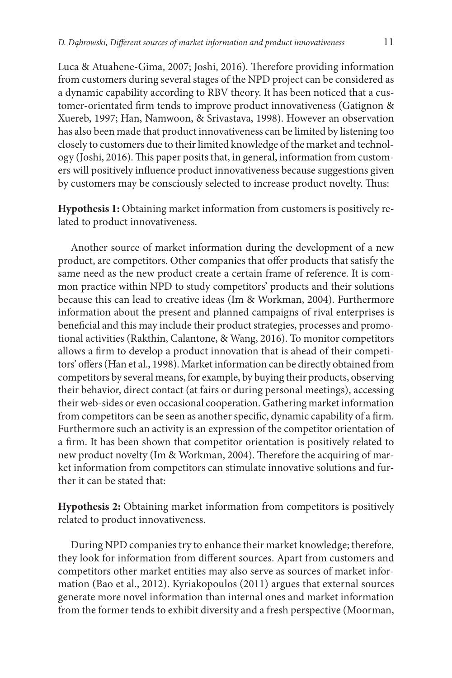Luca & Atuahene-Gima, 2007; Joshi, 2016). Therefore providing information from customers during several stages of the NPD project can be considered as a dynamic capability according to RBV theory. It has been noticed that a customer-orientated firm tends to improve product innovativeness (Gatignon & Xuereb, 1997; Han, Namwoon, & Srivastava, 1998). However an observation has also been made that product innovativeness can be limited by listening too closely to customers due to their limited knowledge of the market and technology (Joshi, 2016). This paper posits that, in general, information from customers will positively influence product innovativeness because suggestions given by customers may be consciously selected to increase product novelty. Thus:

**Hypothesis 1:** Obtaining market information from customers is positively related to product innovativeness.

Another source of market information during the development of a new product, are competitors. Other companies that offer products that satisfy the same need as the new product create a certain frame of reference. It is common practice within NPD to study competitors' products and their solutions because this can lead to creative ideas (Im & Workman, 2004). Furthermore information about the present and planned campaigns of rival enterprises is beneficial and this may include their product strategies, processes and promotional activities (Rakthin, Calantone, & Wang, 2016). To monitor competitors allows a firm to develop a product innovation that is ahead of their competitors' offers (Han et al., 1998). Market information can be directly obtained from competitors by several means, for example, by buying their products, observing their behavior, direct contact (at fairs or during personal meetings), accessing their web-sides or even occasional cooperation. Gathering market information from competitors can be seen as another specific, dynamic capability of a firm. Furthermore such an activity is an expression of the competitor orientation of a firm. It has been shown that competitor orientation is positively related to new product novelty (Im & Workman, 2004). Therefore the acquiring of market information from competitors can stimulate innovative solutions and further it can be stated that:

**Hypothesis 2:** Obtaining market information from competitors is positively related to product innovativeness.

During NPD companies try to enhance their market knowledge; therefore, they look for information from different sources. Apart from customers and competitors other market entities may also serve as sources of market information (Bao et al., 2012). Kyriakopoulos (2011) argues that external sources generate more novel information than internal ones and market information from the former tends to exhibit diversity and a fresh perspective (Moorman,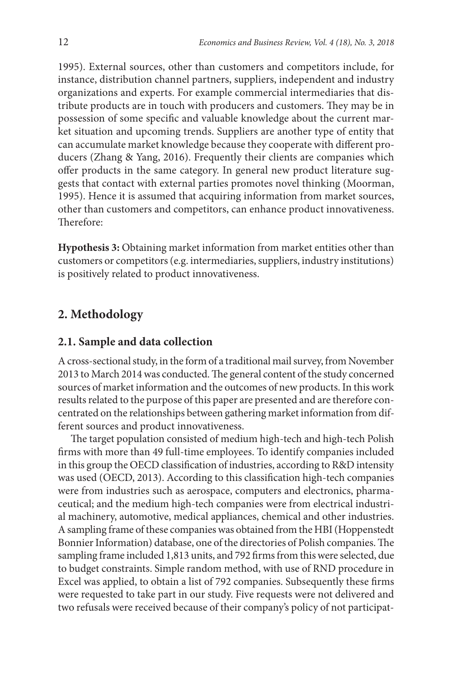1995). External sources, other than customers and competitors include, for instance, distribution channel partners, suppliers, independent and industry organizations and experts. For example commercial intermediaries that distribute products are in touch with producers and customers. They may be in possession of some specific and valuable knowledge about the current market situation and upcoming trends. Suppliers are another type of entity that can accumulate market knowledge because they cooperate with different producers (Zhang & Yang, 2016). Frequently their clients are companies which offer products in the same category. In general new product literature suggests that contact with external parties promotes novel thinking (Moorman, 1995). Hence it is assumed that acquiring information from market sources, other than customers and competitors, can enhance product innovativeness. Therefore:

**Hypothesis 3:** Obtaining market information from market entities other than customers or competitors (e.g. intermediaries, suppliers, industry institutions) is positively related to product innovativeness.

# **2. Methodology**

### **2.1. Sample and data collection**

A cross-sectional study, in the form of a traditional mail survey, from November 2013 to March 2014 was conducted. The general content of the study concerned sources of market information and the outcomes of new products. In this work results related to the purpose of this paper are presented and are therefore concentrated on the relationships between gathering market information from different sources and product innovativeness.

The target population consisted of medium high-tech and high-tech Polish firms with more than 49 full-time employees. To identify companies included in this group the OECD classification of industries, according to R&D intensity was used (OECD, 2013). According to this classification high-tech companies were from industries such as aerospace, computers and electronics, pharmaceutical; and the medium high-tech companies were from electrical industrial machinery, automotive, medical appliances, chemical and other industries. A sampling frame of these companies was obtained from the HBI (Hoppenstedt Bonnier Information) database, one of the directories of Polish companies. The sampling frame included 1,813 units, and 792 firms from this were selected, due to budget constraints. Simple random method, with use of RND procedure in Excel was applied, to obtain a list of 792 companies. Subsequently these firms were requested to take part in our study. Five requests were not delivered and two refusals were received because of their company's policy of not participat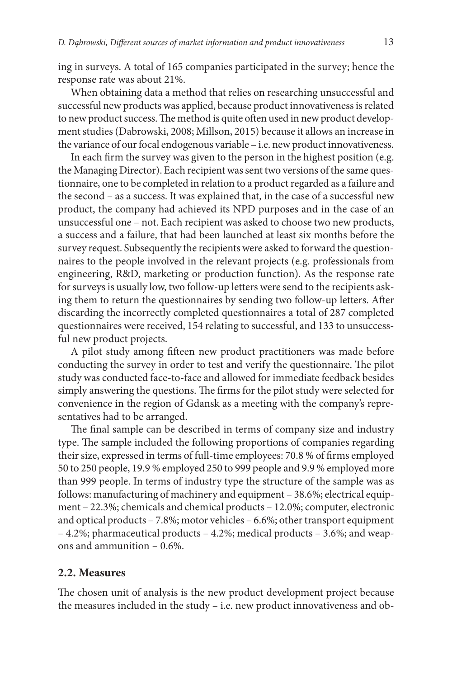ing in surveys. A total of 165 companies participated in the survey; hence the response rate was about 21%.

When obtaining data a method that relies on researching unsuccessful and successful new products was applied, because product innovativeness is related to new product success. The method is quite often used in new product development studies (Dabrowski, 2008; Millson, 2015) because it allows an increase in the variance of our focal endogenous variable – i.e. new product innovativeness.

In each firm the survey was given to the person in the highest position (e.g. the Managing Director). Each recipient was sent two versions of the same questionnaire, one to be completed in relation to a product regarded as a failure and the second – as a success. It was explained that, in the case of a successful new product, the company had achieved its NPD purposes and in the case of an unsuccessful one – not. Each recipient was asked to choose two new products, a success and a failure, that had been launched at least six months before the survey request. Subsequently the recipients were asked to forward the questionnaires to the people involved in the relevant projects (e.g. professionals from engineering, R&D, marketing or production function). As the response rate for surveys is usually low, two follow-up letters were send to the recipients asking them to return the questionnaires by sending two follow-up letters. After discarding the incorrectly completed questionnaires a total of 287 completed questionnaires were received, 154 relating to successful, and 133 to unsuccessful new product projects.

A pilot study among fifteen new product practitioners was made before conducting the survey in order to test and verify the questionnaire. The pilot study was conducted face-to-face and allowed for immediate feedback besides simply answering the questions. The firms for the pilot study were selected for convenience in the region of Gdansk as a meeting with the company's representatives had to be arranged.

The final sample can be described in terms of company size and industry type. The sample included the following proportions of companies regarding their size, expressed in terms of full-time employees: 70.8 % of firms employed 50 to 250 people, 19.9 % employed 250 to 999 people and 9.9 % employed more than 999 people. In terms of industry type the structure of the sample was as follows: manufacturing of machinery and equipment – 38.6%; electrical equipment – 22.3%; chemicals and chemical products – 12.0%; computer, electronic and optical products – 7.8%; motor vehicles – 6.6%; other transport equipment – 4.2%; pharmaceutical products – 4.2%; medical products – 3.6%; and weapons and ammunition – 0.6%.

#### **2.2. Measures**

The chosen unit of analysis is the new product development project because the measures included in the study – i.e. new product innovativeness and ob-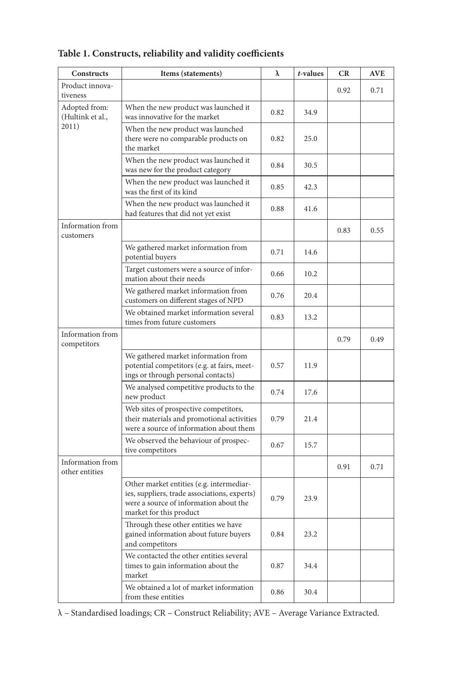| Constructs                         | Items (statements)                                                                                                                                            | λ    | t-values | CR   | AVE  |
|------------------------------------|---------------------------------------------------------------------------------------------------------------------------------------------------------------|------|----------|------|------|
| Product innova-<br>tiveness        |                                                                                                                                                               |      |          | 0.92 | 0.71 |
| Adopted from:<br>(Hultink et al.,  | When the new product was launched it<br>was innovative for the market                                                                                         | 0.82 | 34.9     |      |      |
| 2011)                              | When the new product was launched<br>there were no comparable products on<br>the market                                                                       | 0.82 | 25.0     |      |      |
|                                    | When the new product was launched it<br>was new for the product category                                                                                      | 0.84 | 30.5     |      |      |
|                                    | When the new product was launched it<br>was the first of its kind                                                                                             | 0.85 | 42.3     |      |      |
|                                    | When the new product was launched it<br>had features that did not yet exist                                                                                   | 0.88 | 41.6     |      |      |
| Information from<br>customers      |                                                                                                                                                               |      |          | 0.83 | 0.55 |
|                                    | We gathered market information from<br>potential buyers                                                                                                       | 0.71 | 14.6     |      |      |
|                                    | Target customers were a source of infor-<br>mation about their needs                                                                                          | 0.66 | 10.2     |      |      |
|                                    | We gathered market information from<br>customers on different stages of NPD                                                                                   | 0.76 | 20.4     |      |      |
|                                    | We obtained market information several<br>times from future customers                                                                                         | 0.83 | 13.2     |      |      |
| Information from<br>competitors    |                                                                                                                                                               |      |          | 0.79 | 0.49 |
|                                    | We gathered market information from<br>potential competitors (e.g. at fairs, meet-<br>ings or through personal contacts)                                      | 0.57 | 11.9     |      |      |
|                                    | We analysed competitive products to the<br>new product                                                                                                        | 0.74 | 17.6     |      |      |
|                                    | Web sites of prospective competitors,<br>their materials and promotional activities<br>were a source of information about them                                | 0.79 | 21.4     |      |      |
|                                    | We observed the behaviour of prospec-<br>tive competitors                                                                                                     | 0.67 | 15.7     |      |      |
| Information from<br>other entities |                                                                                                                                                               |      |          | 0.91 | 0.71 |
|                                    | Other market entities (e.g. intermediar-<br>ies, suppliers, trade associations, experts)<br>were a source of information about the<br>market for this product | 0.79 | 23.9     |      |      |
|                                    | Through these other entities we have<br>gained information about future buyers<br>and competitors                                                             | 0.84 | 23.2     |      |      |
|                                    | We contacted the other entities several<br>times to gain information about the<br>market                                                                      | 0.87 | 34.4     |      |      |
|                                    | We obtained a lot of market information<br>from these entities                                                                                                | 0.86 | 30.4     |      |      |

**Table 1. Constructs, reliability and validity coefficients**

λ – Standardised loadings; CR – Construct Reliability; AVE – Average Variance Extracted.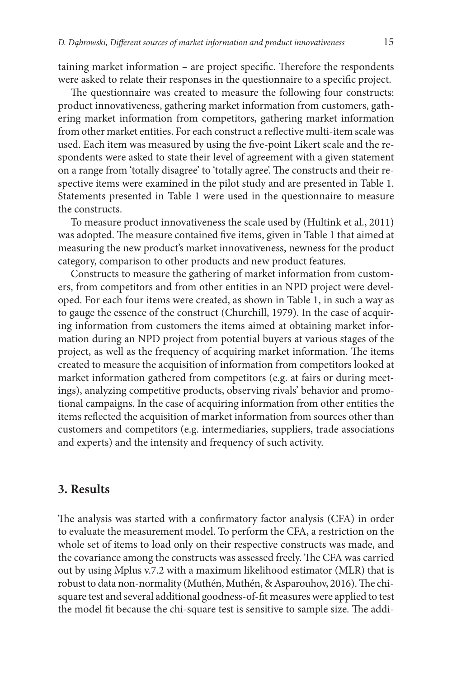taining market information – are project specific. Therefore the respondents were asked to relate their responses in the questionnaire to a specific project.

The questionnaire was created to measure the following four constructs: product innovativeness, gathering market information from customers, gathering market information from competitors, gathering market information from other market entities. For each construct a reflective multi-item scale was used. Each item was measured by using the five-point Likert scale and the respondents were asked to state their level of agreement with a given statement on a range from 'totally disagree' to 'totally agree'. The constructs and their respective items were examined in the pilot study and are presented in Table 1. Statements presented in Table 1 were used in the questionnaire to measure the constructs.

To measure product innovativeness the scale used by (Hultink et al., 2011) was adopted. The measure contained five items, given in Table 1 that aimed at measuring the new product's market innovativeness, newness for the product category, comparison to other products and new product features.

Constructs to measure the gathering of market information from customers, from competitors and from other entities in an NPD project were developed. For each four items were created, as shown in Table 1, in such a way as to gauge the essence of the construct (Churchill, 1979). In the case of acquiring information from customers the items aimed at obtaining market information during an NPD project from potential buyers at various stages of the project, as well as the frequency of acquiring market information. The items created to measure the acquisition of information from competitors looked at market information gathered from competitors (e.g. at fairs or during meetings), analyzing competitive products, observing rivals' behavior and promotional campaigns. In the case of acquiring information from other entities the items reflected the acquisition of market information from sources other than customers and competitors (e.g. intermediaries, suppliers, trade associations and experts) and the intensity and frequency of such activity.

#### **3. Results**

The analysis was started with a confirmatory factor analysis (CFA) in order to evaluate the measurement model. To perform the CFA, a restriction on the whole set of items to load only on their respective constructs was made, and the covariance among the constructs was assessed freely. The CFA was carried out by using Mplus v.7.2 with a maximum likelihood estimator (MLR) that is robust to data non-normality (Muthén, Muthén, & Asparouhov, 2016). The chisquare test and several additional goodness-of-fit measures were applied to test the model fit because the chi-square test is sensitive to sample size. The addi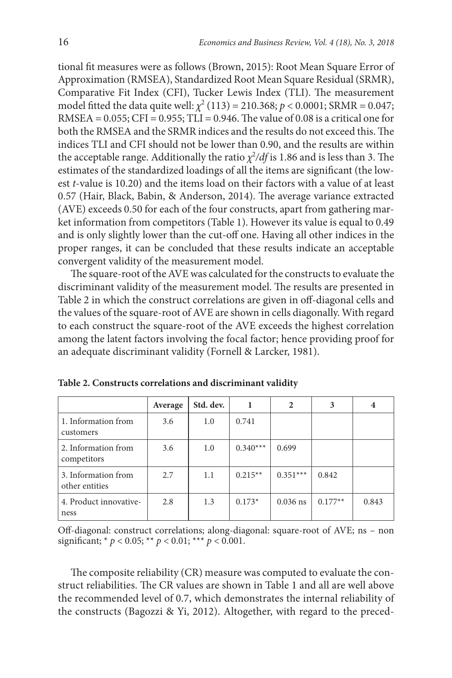tional fit measures were as follows (Brown, 2015): Root Mean Square Error of Approximation (RMSEA), Standardized Root Mean Square Residual (SRMR), Comparative Fit Index (CFI), Tucker Lewis Index (TLI). The measurement model fitted the data quite well:  $\chi^2$  (113) = 210.368;  $p < 0.0001$ ; SRMR = 0.047; RMSEA =  $0.055$ ; CFI =  $0.955$ ; TLI =  $0.946$ . The value of  $0.08$  is a critical one for both the RMSEA and the SRMR indices and the results do not exceed this. The indices TLI and CFI should not be lower than 0.90, and the results are within the acceptable range. Additionally the ratio  $\chi^2/df$  is 1.86 and is less than 3. The estimates of the standardized loadings of all the items are significant (the lowest *t*-value is 10.20) and the items load on their factors with a value of at least 0.57 (Hair, Black, Babin, & Anderson, 2014). The average variance extracted (AVE) exceeds 0.50 for each of the four constructs, apart from gathering market information from competitors (Table 1). However its value is equal to 0.49 and is only slightly lower than the cut-off one. Having all other indices in the proper ranges, it can be concluded that these results indicate an acceptable convergent validity of the measurement model.

The square-root of the AVE was calculated for the constructs to evaluate the discriminant validity of the measurement model. The results are presented in Table 2 in which the construct correlations are given in off-diagonal cells and the values of the square-root of AVE are shown in cells diagonally. With regard to each construct the square-root of the AVE exceeds the highest correlation among the latent factors involving the focal factor; hence providing proof for an adequate discriminant validity (Fornell & Larcker, 1981).

|                                       | Average | Std. dev. |            | $\overline{2}$ | 3         | $\overline{4}$ |
|---------------------------------------|---------|-----------|------------|----------------|-----------|----------------|
| 1. Information from<br>customers      | 3.6     | 1.0       | 0.741      |                |           |                |
| 2. Information from<br>competitors    | 3.6     | 1.0       | $0.340***$ | 0.699          |           |                |
| 3. Information from<br>other entities | 2.7     | 1.1       | $0.215**$  | $0.351***$     | 0.842     |                |
| 4. Product innovative-<br>ness        | 2.8     | 1.3       | $0.173*$   | $0.036$ ns     | $0.177**$ | 0.843          |

**Table 2. Constructs correlations and discriminant validity**

Off-diagonal: construct correlations; along-diagonal: square-root of AVE; ns – non significant;  $* p < 0.05$ ;  $** p < 0.01$ ;  $** p < 0.001$ .

The composite reliability (CR) measure was computed to evaluate the construct reliabilities. The CR values are shown in Table 1 and all are well above the recommended level of 0.7, which demonstrates the internal reliability of the constructs (Bagozzi & Yi, 2012). Altogether, with regard to the preced-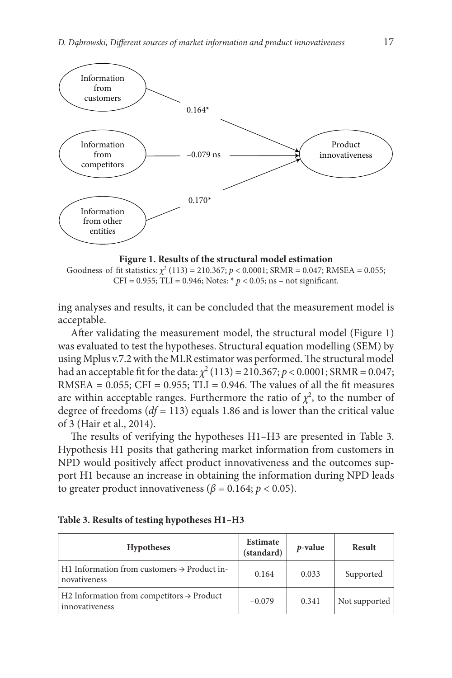

**Figure 1. Results of the structural model estimation** Goodness-of-fit statistics:  $\chi^2$  (113) = 210.367;  $p < 0.0001$ ; SRMR = 0.047; RMSEA = 0.055; CFI = 0.955; TLI = 0.946; Notes:  $* p < 0.05$ ; ns – not significant.

ing analyses and results, it can be concluded that the measurement model is acceptable.

After validating the measurement model, the structural model (Figure 1) was evaluated to test the hypotheses. Structural equation modelling (SEM) by using Mplus v.7.2 with the MLR estimator was performed. The structural model had an acceptable fit for the data:  $\chi^2(113) = 210.367; p < 0.0001; SRMR = 0.047;$ RMSEA =  $0.055$ ; CFI =  $0.955$ ; TLI =  $0.946$ . The values of all the fit measures are within acceptable ranges. Furthermore the ratio of  $\chi^2$ , to the number of degree of freedoms (*df =* 113) equals 1.86 and is lower than the critical value of 3 (Hair et al., 2014).

The results of verifying the hypotheses H1–H3 are presented in Table 3. Hypothesis H1 posits that gathering market information from customers in NPD would positively affect product innovativeness and the outcomes support H1 because an increase in obtaining the information during NPD leads to greater product innovativeness ( $\beta$  = 0.164;  $p$  < 0.05).

| <b>Hypotheses</b>                                                       | Estimate<br>(standard) | <i>p</i> -value | Result        |
|-------------------------------------------------------------------------|------------------------|-----------------|---------------|
| H1 Information from customers $\rightarrow$ Product in-<br>novativeness | 0.164                  | 0.033           | Supported     |
| H2 Information from competitors $\rightarrow$ Product<br>innovativeness | $-0.079$               | 0.341           | Not supported |

|  |  |  |  | Table 3. Results of testing hypotheses H1-H3 |  |  |  |  |
|--|--|--|--|----------------------------------------------|--|--|--|--|
|--|--|--|--|----------------------------------------------|--|--|--|--|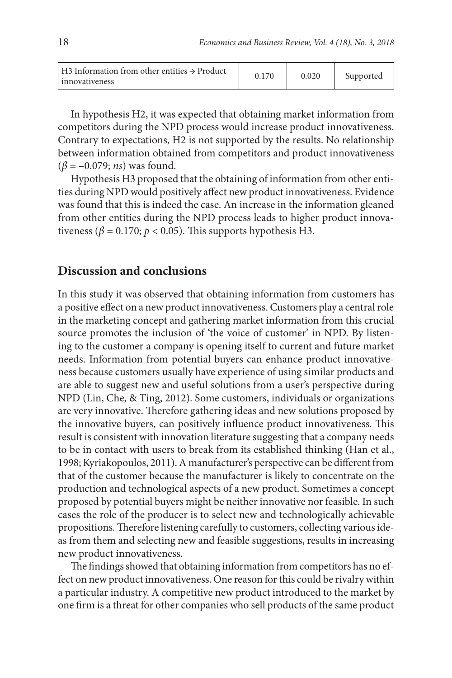| $\vert$ H3 Information from other entities $\rightarrow$ Product<br>innovativeness | 0.170 | 0.020 | Supported |
|------------------------------------------------------------------------------------|-------|-------|-----------|
|------------------------------------------------------------------------------------|-------|-------|-----------|

In hypothesis H2, it was expected that obtaining market information from competitors during the NPD process would increase product innovativeness. Contrary to expectations, H2 is not supported by the results. No relationship between information obtained from competitors and product innovativeness (*β* = –0.079; *ns*) was found.

Hypothesis H3 proposed that the obtaining of information from other entities during NPD would positively affect new product innovativeness. Evidence was found that this is indeed the case. An increase in the information gleaned from other entities during the NPD process leads to higher product innovativeness ( $\beta$  = 0.170;  $p$  < 0.05). This supports hypothesis H3.

#### **Discussion and conclusions**

In this study it was observed that obtaining information from customers has a positive effect on a new product innovativeness. Customers play a central role in the marketing concept and gathering market information from this crucial source promotes the inclusion of 'the voice of customer' in NPD. By listening to the customer a company is opening itself to current and future market needs. Information from potential buyers can enhance product innovativeness because customers usually have experience of using similar products and are able to suggest new and useful solutions from a user's perspective during NPD (Lin, Che, & Ting, 2012). Some customers, individuals or organizations are very innovative. Therefore gathering ideas and new solutions proposed by the innovative buyers, can positively influence product innovativeness. This result is consistent with innovation literature suggesting that a company needs to be in contact with users to break from its established thinking (Han et al., 1998; Kyriakopoulos, 2011). A manufacturer's perspective can be different from that of the customer because the manufacturer is likely to concentrate on the production and technological aspects of a new product. Sometimes a concept proposed by potential buyers might be neither innovative nor feasible. In such cases the role of the producer is to select new and technologically achievable propositions. Therefore listening carefully to customers, collecting various ideas from them and selecting new and feasible suggestions, results in increasing new product innovativeness.

The findings showed that obtaining information from competitors has no effect on new product innovativeness. One reason for this could be rivalry within a particular industry. A competitive new product introduced to the market by one firm is a threat for other companies who sell products of the same product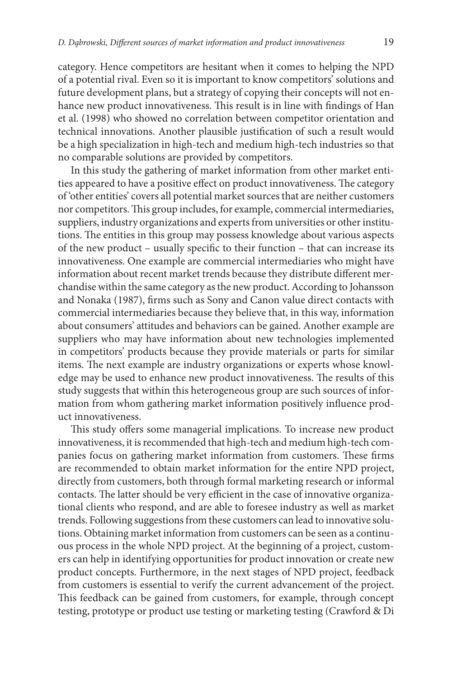category. Hence competitors are hesitant when it comes to helping the NPD of a potential rival. Even so it is important to know competitors' solutions and future development plans, but a strategy of copying their concepts will not enhance new product innovativeness. This result is in line with findings of Han et al. (1998) who showed no correlation between competitor orientation and technical innovations. Another plausible justification of such a result would be a high specialization in high-tech and medium high-tech industries so that no comparable solutions are provided by competitors.

In this study the gathering of market information from other market entities appeared to have a positive effect on product innovativeness. The category of 'other entities' covers all potential market sources that are neither customers nor competitors. This group includes, for example, commercial intermediaries, suppliers, industry organizations and experts from universities or other institutions. The entities in this group may possess knowledge about various aspects of the new product – usually specific to their function – that can increase its innovativeness. One example are commercial intermediaries who might have information about recent market trends because they distribute different merchandise within the same category as the new product. According to Johansson and Nonaka (1987), firms such as Sony and Canon value direct contacts with commercial intermediaries because they believe that, in this way, information about consumers' attitudes and behaviors can be gained. Another example are suppliers who may have information about new technologies implemented in competitors' products because they provide materials or parts for similar items. The next example are industry organizations or experts whose knowledge may be used to enhance new product innovativeness. The results of this study suggests that within this heterogeneous group are such sources of information from whom gathering market information positively influence product innovativeness.

This study offers some managerial implications. To increase new product innovativeness, it is recommended that high-tech and medium high-tech companies focus on gathering market information from customers. These firms are recommended to obtain market information for the entire NPD project, directly from customers, both through formal marketing research or informal contacts. The latter should be very efficient in the case of innovative organizational clients who respond, and are able to foresee industry as well as market trends. Following suggestions from these customers can lead to innovative solutions. Obtaining market information from customers can be seen as a continuous process in the whole NPD project. At the beginning of a project, customers can help in identifying opportunities for product innovation or create new product concepts. Furthermore, in the next stages of NPD project, feedback from customers is essential to verify the current advancement of the project. This feedback can be gained from customers, for example, through concept testing, prototype or product use testing or marketing testing (Crawford & Di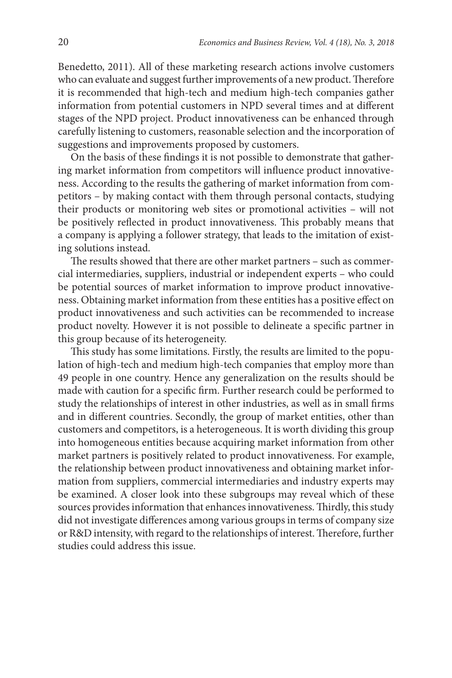Benedetto, 2011). All of these marketing research actions involve customers who can evaluate and suggest further improvements of a new product. Therefore it is recommended that high-tech and medium high-tech companies gather information from potential customers in NPD several times and at different stages of the NPD project. Product innovativeness can be enhanced through carefully listening to customers, reasonable selection and the incorporation of suggestions and improvements proposed by customers.

On the basis of these findings it is not possible to demonstrate that gathering market information from competitors will influence product innovativeness. According to the results the gathering of market information from competitors – by making contact with them through personal contacts, studying their products or monitoring web sites or promotional activities – will not be positively reflected in product innovativeness. This probably means that a company is applying a follower strategy, that leads to the imitation of existing solutions instead.

The results showed that there are other market partners – such as commercial intermediaries, suppliers, industrial or independent experts – who could be potential sources of market information to improve product innovativeness. Obtaining market information from these entities has a positive effect on product innovativeness and such activities can be recommended to increase product novelty. However it is not possible to delineate a specific partner in this group because of its heterogeneity.

This study has some limitations. Firstly, the results are limited to the population of high-tech and medium high-tech companies that employ more than 49 people in one country. Hence any generalization on the results should be made with caution for a specific firm. Further research could be performed to study the relationships of interest in other industries, as well as in small firms and in different countries. Secondly, the group of market entities, other than customers and competitors, is a heterogeneous. It is worth dividing this group into homogeneous entities because acquiring market information from other market partners is positively related to product innovativeness. For example, the relationship between product innovativeness and obtaining market information from suppliers, commercial intermediaries and industry experts may be examined. A closer look into these subgroups may reveal which of these sources provides information that enhances innovativeness. Thirdly, this study did not investigate differences among various groups in terms of company size or R&D intensity, with regard to the relationships of interest. Therefore, further studies could address this issue.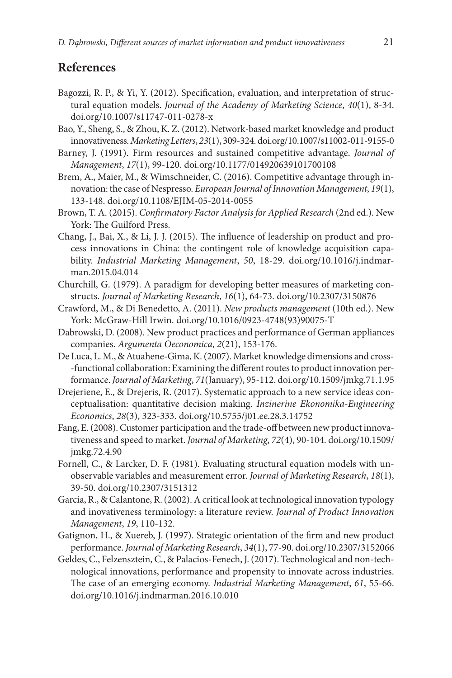## **References**

- Bagozzi, R. P., & Yi, Y. (2012). Specification, evaluation, and interpretation of structural equation models. *Journal of the Academy of Marketing Science*, *40*(1), 8-34. doi.org/10.1007/s11747-011-0278-x
- Bao, Y., Sheng, S., & Zhou, K. Z. (2012). Network-based market knowledge and product innovativeness. *Marketing Letters*, *23*(1), 309-324. doi.org/10.1007/s11002-011-9155-0
- Barney, J. (1991). Firm resources and sustained competitive advantage. *Journal of Management*, *17*(1), 99-120. doi.org/10.1177/014920639101700108
- Brem, A., Maier, M., & Wimschneider, C. (2016). Competitive advantage through innovation: the case of Nespresso. *European Journal of Innovation Management*, *19*(1), 133-148. doi.org/10.1108/EJIM-05-2014-0055
- Brown, T. A. (2015). *Confirmatory Factor Analysis for Applied Research* (2nd ed.). New York: The Guilford Press.
- Chang, J., Bai, X., & Li, J. J. (2015). The influence of leadership on product and process innovations in China: the contingent role of knowledge acquisition capability. *Industrial Marketing Management*, *50*, 18-29. doi.org/10.1016/j.indmarman.2015.04.014
- Churchill, G. (1979). A paradigm for developing better measures of marketing constructs. *Journal of Marketing Research*, *16*(1), 64-73. doi.org/10.2307/3150876
- Crawford, M., & Di Benedetto, A. (2011). *New products management* (10th ed.). New York: McGraw-Hill Irwin. doi.org/10.1016/0923-4748(93)90075-T
- Dabrowski, D. (2008). New product practices and performance of German appliances companies. *Argumenta Oeconomica*, *2*(21), 153-176.
- De Luca, L. M., & Atuahene-Gima, K. (2007). Market knowledge dimensions and cross- -functional collaboration: Examining the different routes to product innovation performance. *Journal of Marketing*, *71*(January), 95-112. doi.org/10.1509/jmkg.71.1.95
- Drejeriene, E., & Drejeris, R. (2017). Systematic approach to a new service ideas conceptualisation: quantitative decision making. *Inzinerine Ekonomika-Engineering Economics*, *28*(3), 323-333. doi.org/10.5755/j01.ee.28.3.14752
- Fang, E. (2008). Customer participation and the trade-off between new product innovativeness and speed to market. *Journal of Marketing*, *72*(4), 90-104. doi.org/10.1509/ jmkg.72.4.90
- Fornell, C., & Larcker, D. F. (1981). Evaluating structural equation models with unobservable variables and measurement error. *Journal of Marketing Research*, *18*(1), 39-50. doi.org/10.2307/3151312
- Garcia, R., & Calantone, R. (2002). A critical look at technological innovation typology and inovativeness terminology: a literature review. *Journal of Product Innovation Management*, *19*, 110-132.
- Gatignon, H., & Xuereb, J. (1997). Strategic orientation of the firm and new product performance. *Journal of Marketing Research*, *34*(1), 77-90. doi.org/10.2307/3152066
- Geldes, C., Felzensztein, C., & Palacios-Fenech, J. (2017). Technological and non-technological innovations, performance and propensity to innovate across industries. The case of an emerging economy. *Industrial Marketing Management*, *61*, 55-66. doi.org/10.1016/j.indmarman.2016.10.010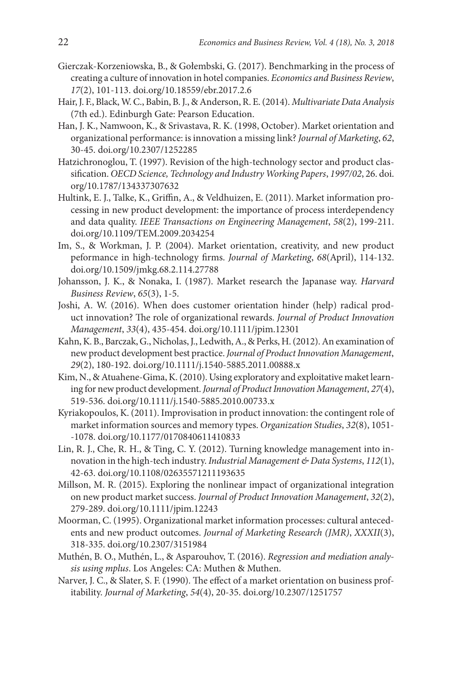- Gierczak-Korzeniowska, B., & Gołembski, G. (2017). Benchmarking in the process of creating a culture of innovation in hotel companies. *Economics and Business Review*, *17*(2), 101-113. doi.org/10.18559/ebr.2017.2.6
- Hair, J. F., Black, W. C., Babin, B. J., & Anderson, R. E. (2014). *Multivariate Data Analysis* (7th ed.). Edinburgh Gate: Pearson Education.
- Han, J. K., Namwoon, K., & Srivastava, R. K. (1998, October). Market orientation and organizational performance: is innovation a missing link? *Journal of Marketing*, *62*, 30-45. doi.org/10.2307/1252285
- Hatzichronoglou, T. (1997). Revision of the high-technology sector and product classification. *OECD Science, Technology and Industry Working Papers*, *1997/02*, 26. doi. org/10.1787/134337307632
- Hultink, E. J., Talke, K., Griffin, A., & Veldhuizen, E. (2011). Market information processing in new product development: the importance of process interdependency and data quality. *IEEE Transactions on Engineering Management*, *58*(2), 199-211. doi.org/10.1109/TEM.2009.2034254
- Im, S., & Workman, J. P. (2004). Market orientation, creativity, and new product peformance in high-technology firms. *Journal of Marketing*, *68*(April), 114-132. doi.org/10.1509/jmkg.68.2.114.27788
- Johansson, J. K., & Nonaka, I. (1987). Market research the Japanase way. *Harvard Business Review*, *65*(3), 1-5.
- Joshi, A. W. (2016). When does customer orientation hinder (help) radical product innovation? The role of organizational rewards. *Journal of Product Innovation Management*, *33*(4), 435-454. doi.org/10.1111/jpim.12301
- Kahn, K. B., Barczak, G., Nicholas, J., Ledwith, A., & Perks, H. (2012). An examination of new product development best practice. *Journal of Product Innovation Management*, *29*(2), 180-192. doi.org/10.1111/j.1540-5885.2011.00888.x
- Kim, N., & Atuahene-Gima, K. (2010). Using exploratory and exploitative maket learning for new product development. *Journal of Product Innovation Management*, *27*(4), 519-536. doi.org/10.1111/j.1540-5885.2010.00733.x
- Kyriakopoulos, K. (2011). Improvisation in product innovation: the contingent role of market information sources and memory types. *Organization Studies*, *32*(8), 1051- -1078. doi.org/10.1177/0170840611410833
- Lin, R. J., Che, R. H., & Ting, C. Y. (2012). Turning knowledge management into innovation in the high‐tech industry. *Industrial Management & Data Systems*, *112*(1), 42-63. doi.org/10.1108/02635571211193635
- Millson, M. R. (2015). Exploring the nonlinear impact of organizational integration on new product market success. *Journal of Product Innovation Management*, *32*(2), 279-289. doi.org/10.1111/jpim.12243
- Moorman, C. (1995). Organizational market information processes: cultural antecedents and new product outcomes. *Journal of Marketing Research (JMR)*, *XXXII*(3), 318-335. doi.org/10.2307/3151984
- Muthén, B. O., Muthén, L., & Asparouhov, T. (2016). *Regression and mediation analysis using mplus*. Los Angeles: CA: Muthen & Muthen.
- Narver, J. C., & Slater, S. F. (1990). The effect of a market orientation on business profitability. *Journal of Marketing*, *54*(4), 20-35. doi.org/10.2307/1251757